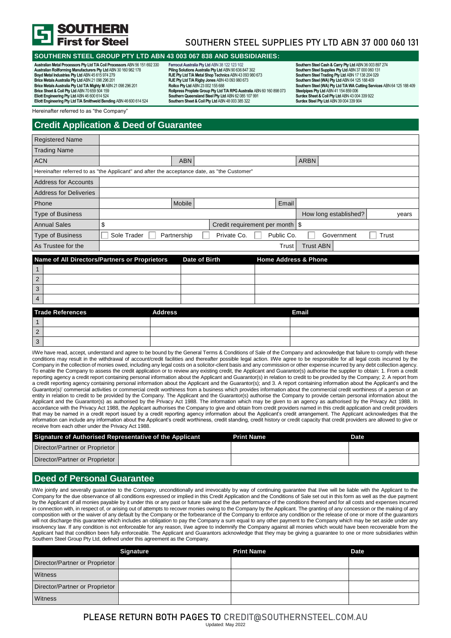

# SOUTHERN STEEL SUPPLIES PTY LTD ABN 37 000 060 131

### **SOUTHERN STEEL GROUP PTY LTD ABN 43 003 067 838 AND SUBSIDIARIES:**

**Australian Metal Processors Pty Ltd T/A Coil Processors** ABN 56 151 692 330 **Australian Rollforming Manufacturers Pty Ltd** ABN 30 160 982 178 **Boyd Metal Industries Pty Ltd** ABN 45 615 974 279 **Brice Metals Australia Pty Ltd** ABN 21 098 296 201 **Brice Metals Australia Pty Ltd T/A Mighty M** ABN 21 098 296 201 **Brice Sheet & Coil Pty Ltd** ABN 70 659 504 159 **Eliott Engineering Pty Ltd** ABN 46 600 614 524 **Eliott Engineering Pty Ltd T/A Smithweld Bending** ABN 46 600 614 524

**Ferrocut Australia Pty Ltd** ABN 38 122 123 102 **Piling Solutions Australia Pty Ltd** ABN 90 636 847 302 **RJE Pty Ltd T/A Metal Shop Technics** ABN 43 093 980 673 **RJE Pty Ltd T/A Rigby Jones** ABN 43 093 980 673 **Rollco Pty Ltd** ABN 23 002 155 688 **Rollpress Proplate Group Pty Ltd T/A RPG Australia** ABN 60 160 898 073 **SouthernQueensland Steel Pty Ltd** ABN 62 085 107 991 **Southern Sheet & Coil Pty Ltd** ABN 48 003 385 322

**Southern Steel Cash & Carry Pty Ltd** ABN 36 003 897 274 **Southern Steel Supplies Pty Ltd** ABN 37 000 060 131 **Southern Steel Trading Pty Ltd** ABN 17 138 204 029 **Southern Steel (WA) Pty Ltd** ABN 64 125 188 409 **Southern Steel (WA) Pty Ltd T/A WA Cutting Services** ABN 64 125 188 409 **Steelpipes Pty Ltd** ABN 41 154 859 006 **Surdex Sheet & Coil Pty Ltd** ABN 43 004 339 922 **Surdex Steel Pty Ltd** ABN 39 004 339 904

Hereinafter referred to as "the Company"

## **Credit Application & Deed of Guarantee**

| <b>Registered Name</b>                                                                      |             |                |               |                                   |                       |       |
|---------------------------------------------------------------------------------------------|-------------|----------------|---------------|-----------------------------------|-----------------------|-------|
| <b>Trading Name</b>                                                                         |             |                |               |                                   |                       |       |
| <b>ACN</b>                                                                                  |             | <b>ABN</b>     |               |                                   | <b>ARBN</b>           |       |
| Hereinafter referred to as "the Applicant" and after the acceptance date, as "the Customer" |             |                |               |                                   |                       |       |
| <b>Address for Accounts</b>                                                                 |             |                |               |                                   |                       |       |
| <b>Address for Deliveries</b>                                                               |             |                |               |                                   |                       |       |
| Phone                                                                                       |             | Mobile         |               | Email                             |                       |       |
| <b>Type of Business</b>                                                                     |             |                |               |                                   | How long established? | years |
| <b>Annual Sales</b>                                                                         | \$          |                |               | Credit requirement per month   \$ |                       |       |
| <b>Type of Business</b>                                                                     | Sole Trader | Partnership    | Private Co.   | Public Co.                        | Government            | Trust |
| As Trustee for the                                                                          |             |                |               | Trust                             | <b>Trust ABN</b>      |       |
| Name of All Directors/Partners or Proprietors                                               |             |                | Date of Birth | <b>Home Address &amp; Phone</b>   |                       |       |
|                                                                                             |             |                |               |                                   |                       |       |
| 2                                                                                           |             |                |               |                                   |                       |       |
| 3                                                                                           |             |                |               |                                   |                       |       |
| 4                                                                                           |             |                |               |                                   |                       |       |
| <b>Trade References</b>                                                                     |             | <b>Address</b> |               |                                   | <b>Email</b>          |       |
|                                                                                             |             |                |               |                                   |                       |       |
| $\overline{2}$                                                                              |             |                |               |                                   |                       |       |

I/We have read, accept, understand and agree to be bound by the General Terms & Conditions of Sale of the Company and acknowledge that failure to comply with these conditions may result in the withdrawal of account/credit facilities and thereafter possible legal action. I/We agree to be responsible for all legal costs incurred by the Company in the collection of monies owed, including any legal costs on a solicitor-client basis and any commission or other expense incurred by any debt collection agency. To enable the Company to assess the credit application or to review any existing credit, the Applicant and Guarantor(s) authorise the supplier to obtain: 1. From a credit reporting agency a credit report containing personal information about the Applicant and Guarantor(s) in relation to credit to be provided by the Company; 2. A report from a credit reporting agency containing personal information about the Applicant and the Guarantor(s); and 3. A report containing information about the Applicant's and the Guarantor(s)' commercial activities or commercial credit worthiness from a business which provides information about the commercial credit worthiness of a person or an entity in relation to credit to be provided by the Company. The Applicant and the Guarantor(s) authorise the Company to provide certain personal information about the Applicant and the Guarantor(s) as authorised by the Privacy Act 1988. The information which may be given to an agency as authorised by the Privacy Act 1988. In accordance with the Privacy Act 1988, the Applicant authorises the Company to give and obtain from credit providers named in this credit application and credit providers that may be named in a credit report issued by a credit reporting agency information about the Applicant's credit arrangement. The Applicant acknowledges that the information can include any information about the Applicant's credit worthiness, credit standing, credit history or credit capacity that credit providers are allowed to give or receive from each other under the Privacy Act 1988.

| Signature of Authorised Representative of the Applicant | <b>Print Name</b> | Date |
|---------------------------------------------------------|-------------------|------|
| Director/Partner or Proprietor                          |                   |      |
| Director/Partner or Proprietor                          |                   |      |

### **Deed of Personal Guarantee**

3

I/We jointly and severally guarantee to the Company, unconditionally and irrevocably by way of continuing guarantee that I/we will be liable with the Applicant to the Company for the due observance of all conditions expressed or implied in this Credit Application and the Conditions of Sale set out in this form as well as the due payment by the Applicant of all monies payable by it under this or any past or future sale and the due performance of the conditions thereof and for all costs and expenses incurred in connection with, in respect of, or arising out of attempts to recover monies owing to the Company by the Applicant. The granting of any concession or the making of any composition with or the waiver of any default by the Company or the forbearance of the Company to enforce any condition or the release of one or more of the guarantors will not discharge this guarantee which includes an obligation to pay the Company a sum equal to any other payment to the Company which may be set aside under any insolvency law. If any condition is not enforceable for any reason, I/we agree to indemnify the Company against all monies which would have been recoverable from the Applicant had that condition been fully enforceable. The Applicant and Guarantors acknowledge that they may be giving a guarantee to one or more subsidiaries within Southern Steel Group Pty Ltd, defined under this agreement as the Company.

|                                | <b>Signature</b> | <b>Print Name</b> | <b>Date</b> |
|--------------------------------|------------------|-------------------|-------------|
| Director/Partner or Proprietor |                  |                   |             |
| Witness                        |                  |                   |             |
| Director/Partner or Proprietor |                  |                   |             |
| Witness                        |                  |                   |             |